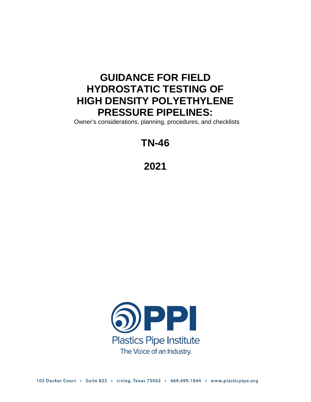## **GUIDANCE FOR FIELD HYDROSTATIC TESTING OF HIGH DENSITY POLYETHYLENE PRESSURE PIPELINES:**

Owner's considerations, planning, procedures, and checklists

# **TN-46**

**2021**

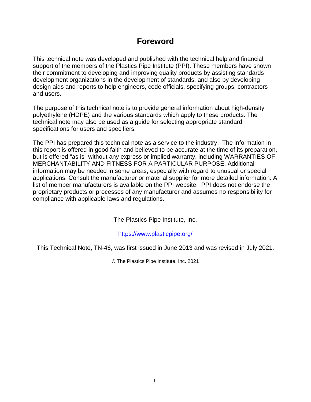## **Foreword**

This technical note was developed and published with the technical help and financial support of the members of the Plastics Pipe Institute (PPI). These members have shown their commitment to developing and improving quality products by assisting standards development organizations in the development of standards, and also by developing design aids and reports to help engineers, code officials, specifying groups, contractors and users.

The purpose of this technical note is to provide general information about high-density polyethylene (HDPE) and the various standards which apply to these products. The technical note may also be used as a guide for selecting appropriate standard specifications for users and specifiers.

The PPI has prepared this technical note as a service to the industry. The information in this report is offered in good faith and believed to be accurate at the time of its preparation, but is offered "as is" without any express or implied warranty, including WARRANTIES OF MERCHANTABILITY AND FITNESS FOR A PARTICULAR PURPOSE. Additional information may be needed in some areas, especially with regard to unusual or special applications. Consult the manufacturer or material supplier for more detailed information. A list of member manufacturers is available on the PPI website. PPI does not endorse the proprietary products or processes of any manufacturer and assumes no responsibility for compliance with applicable laws and regulations.

The Plastics Pipe Institute, Inc.

<https://www.plasticpipe.org/>

This Technical Note, TN-46, was first issued in June 2013 and was revised in July 2021.

© The Plastics Pipe Institute, Inc. 2021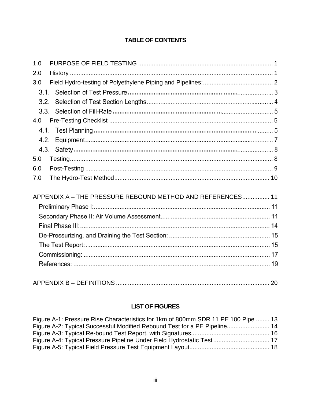### **TABLE OF CONTENTS**

| 1.0  |                                                            |  |
|------|------------------------------------------------------------|--|
| 2.0  |                                                            |  |
| 3.0  |                                                            |  |
| 3.1. |                                                            |  |
| 3.2. |                                                            |  |
| 3.3. |                                                            |  |
| 4.0  |                                                            |  |
| 4.1. |                                                            |  |
| 4.2. |                                                            |  |
| 4.3. |                                                            |  |
| 5.0  |                                                            |  |
| 6.0  |                                                            |  |
| 7.0  |                                                            |  |
|      |                                                            |  |
|      | APPENDIX A - THE PRESSURE REBOUND METHOD AND REFERENCES 11 |  |
|      |                                                            |  |
|      |                                                            |  |
|      |                                                            |  |
|      |                                                            |  |
|      |                                                            |  |
|      |                                                            |  |
|      |                                                            |  |
|      |                                                            |  |

### **LIST OF FIGURES**

| Figure A-1: Pressure Rise Characteristics for 1km of 800mm SDR 11 PE 100 Pipe  13 |  |
|-----------------------------------------------------------------------------------|--|
|                                                                                   |  |
|                                                                                   |  |
| Figure A-4: Typical Pressure Pipeline Under Field Hydrostatic Test 17             |  |
|                                                                                   |  |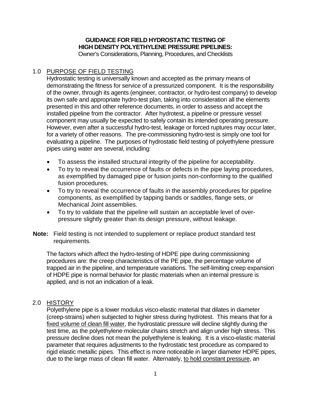### **GUIDANCE FOR FIELD HYDROSTATIC TESTING OF HIGH DENSITY POLYETHYLENE PRESSURE PIPELINES:**

Owner's Considerations, Planning, Procedures, and Checklists

### <span id="page-3-0"></span>1.0 PURPOSE OF FIELD TESTING

Hydrostatic testing is universally known and accepted as the primary means of demonstrating the fitness for service of a pressurized component. It is the responsibility of the owner, through its agents (engineer, contractor, or hydro-test company) to develop its own safe and appropriate hydro-test plan, taking into consideration all the elements presented in this and other reference documents, in order to assess and accept the installed pipeline from the contractor. After hydrotest, a pipeline or pressure vessel component may usually be expected to safely contain its intended operating pressure. However, even after a successful hydro-test, leakage or forced ruptures may occur later, for a variety of other reasons. The pre-commissioning hydro-test is simply one tool for evaluating a pipeline. The purposes of hydrostatic field testing of polyethylene pressure pipes using water are several, including:

- To assess the installed structural integrity of the pipeline for acceptability.
- To try to reveal the occurrence of faults or defects in the pipe laying procedures, as exemplified by damaged pipe or fusion joints non-conforming to the qualified fusion procedures.
- To try to reveal the occurrence of faults in the assembly procedures for pipeline components, as exemplified by tapping bands or saddles, flange sets, or Mechanical Joint assemblies.
- To try to validate that the pipeline will sustain an acceptable level of overpressure slightly greater than its design pressure, without leakage.
- **Note:** Field testing is not intended to supplement or replace product standard test requirements.

The factors which affect the hydro-testing of HDPE pipe during commissioning procedures are: the creep characteristics of the PE pipe, the percentage volume of trapped air in the pipeline, and temperature variations. The self-limiting creep expansion of HDPE pipe is normal behavior for plastic materials when an internal pressure is applied, and is not an indication of a leak.

### <span id="page-3-1"></span>2.0 HISTORY

Polyethylene pipe is a lower modulus visco-elastic material that dilates in diameter (creep-strains) when subjected to higher stress during hydrotest. This means that for a fixed volume of clean fill water, the hydrostatic pressure will decline slightly during the test time, as the polyethylene molecular chains stretch and align under high stress. This pressure decline does not mean the polyethylene is leaking. It is a visco-elastic material parameter that requires adjustments to the hydrostatic test procedure as compared to rigid elastic metallic pipes. This effect is more noticeable in larger diameter HDPE pipes, due to the large mass of clean fill water. Alternately, to hold constant pressure, an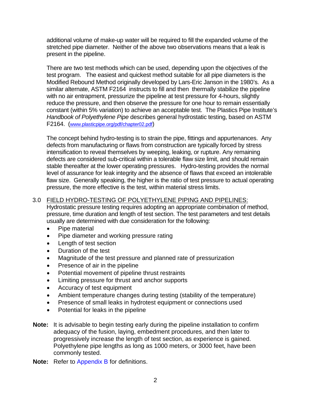additional volume of make-up water will be required to fill the expanded volume of the stretched pipe diameter. Neither of the above two observations means that a leak is present in the pipeline.

There are two test methods which can be used, depending upon the objectives of the test program. The easiest and quickest method suitable for all pipe diameters is the Modified Rebound Method originally developed by Lars-Eric Janson in the 1980's. As a similar alternate, ASTM F2164 instructs to fill and then thermally stabilize the pipeline with no air entrapment, pressurize the pipeline at test pressure for 4-hours, slightly reduce the pressure, and then observe the pressure for one hour to remain essentially constant (within 5% variation) to achieve an acceptable test. The Plastics Pipe Institute's *Handbook of Polyethylene Pipe* describes general hydrostatic testing, based on ASTM F2164. [\(www.plasticpipe.org/pdf/chapter02.pdf\)](http://www.plasticpipe.org/pdf/chapter02.pdf)

The concept behind hydro-testing is to strain the pipe, fittings and appurtenances. Any defects from manufacturing or flaws from construction are typically forced by stress intensification to reveal themselves by weeping, leaking, or rupture. Any remaining defects are considered sub-critical within a tolerable flaw size limit, and should remain stable thereafter at the lower operating pressures. Hydro-testing provides the normal level of assurance for leak integrity and the absence of flaws that exceed an intolerable flaw size. Generally speaking, the higher is the ratio of test pressure to actual operating pressure, the more effective is the test, within material stress limits.

### <span id="page-4-0"></span>3.0 FIELD HYDRO-TESTING OF POLYETHYLENE PIPING AND PIPELINES:

Hydrostatic pressure testing requires adopting an appropriate combination of method, pressure, time duration and length of test section. The test parameters and test details usually are determined with due consideration for the following:

- Pipe material
- Pipe diameter and working pressure rating
- Length of test section
- Duration of the test
- Magnitude of the test pressure and planned rate of pressurization
- Presence of air in the pipeline
- Potential movement of pipeline thrust restraints
- Limiting pressure for thrust and anchor supports
- Accuracy of test equipment
- Ambient temperature changes during testing (stability of the temperature)
- Presence of small leaks in hydrotest equipment or connections used
- Potential for leaks in the pipeline
- **Note:** It is advisable to begin testing early during the pipeline installation to confirm adequacy of the fusion, laying, embedment procedures, and then later to progressively increase the length of test section, as experience is gained. Polyethylene pipe lengths as long as 1000 meters, or 3000 feet, have been commonly tested.
- **Note:** Refer to Appendix B for definitions.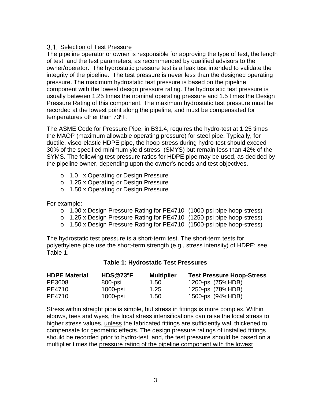### 3.1. Selection of Test Pressure

The pipeline operator or owner is responsible for approving the type of test, the length of test, and the test parameters, as recommended by qualified advisors to the owner/operator. The hydrostatic pressure test is a leak test intended to validate the integrity of the pipeline. The test pressure is never less than the designed operating pressure. The maximum hydrostatic test pressure is based on the pipeline component with the lowest design pressure rating. The hydrostatic test pressure is usually between 1.25 times the nominal operating pressure and 1.5 times the Design Pressure Rating of this component. The maximum hydrostatic test pressure must be recorded at the lowest point along the pipeline, and must be compensated for temperatures other than 73ºF.

The ASME Code for Pressure Pipe, in B31.4, requires the hydro-test at 1.25 times the MAOP (maximum allowable operating pressure) for steel pipe. Typically, for ductile, visco-elastic HDPE pipe, the hoop-stress during hydro-test should exceed 30% of the specified minimum yield stress (SMYS) but remain less than 42% of the SYMS. The following test pressure ratios for HDPE pipe may be used, as decided by the pipeline owner, depending upon the owner's needs and test objectives.

- o 1.0 x Operating or Design Pressure
- o 1.25 x Operating or Design Pressure
- o 1.50 x Operating or Design Pressure

For example:

- o 1.00 x Design Pressure Rating for PE4710 (1000-psi pipe hoop-stress)
- o 1.25 x Design Pressure Rating for PE4710 (1250-psi pipe hoop-stress)
- o 1.50 x Design Pressure Rating for PE4710 (1500-psi pipe hoop-stress)

The hydrostatic test pressure is a short-term test. The short-term tests for polyethylene pipe use the short-term strength (e.g., stress intensity) of HDPE; see Table 1.

### **Table 1: Hydrostatic Test Pressures**

| <b>HDPE Material</b> | <b>HDS@73ºF</b> | <b>Multiplier</b> | <b>Test Pressure Hoop-Stress</b> |
|----------------------|-----------------|-------------------|----------------------------------|
| PE3608               | 800-psi         | 1.50              | 1200-psi (75%HDB)                |
| PE4710               | $1000$ -psi     | 1.25              | 1250-psi (78%HDB)                |
| PE4710               | 1000-psi        | $1.50^{\circ}$    | 1500-psi (94%HDB)                |

Stress within straight pipe is simple, but stress in fittings is more complex. Within elbows, tees and wyes, the local stress intensifications can raise the local stress to higher stress values, unless the fabricated fittings are sufficiently wall thickened to compensate for geometric effects. The design pressure ratings of installed fittings should be recorded prior to hydro-test, and, the test pressure should be based on a multiplier times the pressure rating of the pipeline component with the lowest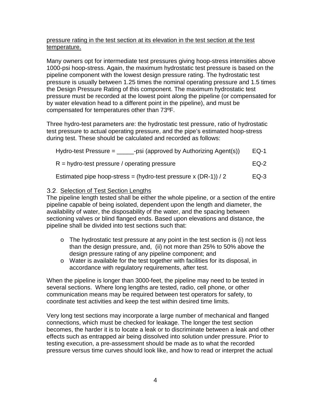### pressure rating in the test section at its elevation in the test section at the test temperature.

Many owners opt for intermediate test pressures giving hoop-stress intensities above 1000-psi hoop-stress. Again, the maximum hydrostatic test pressure is based on the pipeline component with the lowest design pressure rating. The hydrostatic test pressure is usually between 1.25 times the nominal operating pressure and 1.5 times the Design Pressure Rating of this component. The maximum hydrostatic test pressure must be recorded at the lowest point along the pipeline (or compensated for by water elevation head to a different point in the pipeline), and must be compensated for temperatures other than 73ºF.

Three hydro-test parameters are: the hydrostatic test pressure, ratio of hydrostatic test pressure to actual operating pressure, and the pipe's estimated hoop-stress during test. These should be calculated and recorded as follows:

| -psi (approved by Authorizing Agent(s))<br>Hydro-test Pressure $=$ | $EQ-1$ |
|--------------------------------------------------------------------|--------|
| $R = hydro-test pressure / operating pressure$                     | EQ-2   |
| Estimated pipe hoop-stress = (hydro-test pressure x $(DR-1)$ ) / 2 | $EQ-3$ |

### Selection of Test Section Lengths

The pipeline length tested shall be either the whole pipeline, or a section of the entire pipeline capable of being isolated, dependent upon the length and diameter, the availability of water, the disposability of the water, and the spacing between sectioning valves or blind flanged ends. Based upon elevations and distance, the pipeline shall be divided into test sections such that:

- o The hydrostatic test pressure at any point in the test section is (i) not less than the design pressure, and, (ii) not more than 25% to 50% above the design pressure rating of any pipeline component; and
- o Water is available for the test together with facilities for its disposal, in accordance with regulatory requirements, after test.

When the pipeline is longer than 3000-feet, the pipeline may need to be tested in several sections. Where long lengths are tested, radio, cell phone, or other communication means may be required between test operators for safety, to coordinate test activities and keep the test within desired time limits.

Very long test sections may incorporate a large number of mechanical and flanged connections, which must be checked for leakage. The longer the test section becomes, the harder it is to locate a leak or to discriminate between a leak and other effects such as entrapped air being dissolved into solution under pressure. Prior to testing execution, a pre-assessment should be made as to what the recorded pressure versus time curves should look like, and how to read or interpret the actual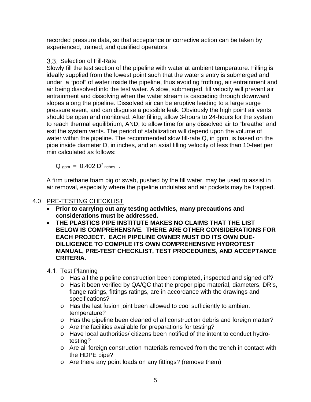recorded pressure data, so that acceptance or corrective action can be taken by experienced, trained, and qualified operators.

### Selection of Fill-Rate

Slowly fill the test section of the pipeline with water at ambient temperature. Filling is ideally supplied from the lowest point such that the water's entry is submerged and under a "pool" of water inside the pipeline, thus avoiding frothing, air entrainment and air being dissolved into the test water. A slow, submerged, fill velocity will prevent air entrainment and dissolving when the water stream is cascading through downward slopes along the pipeline. Dissolved air can be eruptive leading to a large surge pressure event, and can disguise a possible leak. Obviously the high point air vents should be open and monitored. After filling, allow 3-hours to 24-hours for the system to reach thermal equilibrium, AND, to allow time for any dissolved air to "breathe" and exit the system vents. The period of stabilization will depend upon the volume of water within the pipeline. The recommended slow fill-rate Q, in gpm, is based on the pipe inside diameter D, in inches, and an axial filling velocity of less than 10-feet per min calculated as follows:

 $Q_{\text{qpm}} = 0.402 \text{ D}^2$ inches.

A firm urethane foam pig or swab, pushed by the fill water, may be used to assist in air removal, especially where the pipeline undulates and air pockets may be trapped.

### <span id="page-7-0"></span>4.0 PRE-TESTING CHECKLIST

- **Prior to carrying out any testing activities, many precautions and considerations must be addressed.**
- **THE PLASTICS PIPE INSTITUTE MAKES NO CLAIMS THAT THE LIST BELOW IS COMPREHENSIVE. THERE ARE OTHER CONSIDERATIONS FOR EACH PROJECT. EACH PIPELINE OWNER MUST DO ITS OWN DUE-DILLIGENCE TO COMPILE ITS OWN COMPREHENSIVE HYDROTEST MANUAL, PRE-TEST CHECKLIST, TEST PROCEDURES, AND ACCEPTANCE CRITERIA.**
- 4.1. Test Planning
	- o Has all the pipeline construction been completed, inspected and signed off?
	- o Has it been verified by QA/QC that the proper pipe material, diameters, DR's, flange ratings, fittings ratings, are in accordance with the drawings and specifications?
	- o Has the last fusion joint been allowed to cool sufficiently to ambient temperature?
	- o Has the pipeline been cleaned of all construction debris and foreign matter?
	- o Are the facilities available for preparations for testing?
	- o Have local authorities/ citizens been notified of the intent to conduct hydrotesting?
	- o Are all foreign construction materials removed from the trench in contact with the HDPE pipe?
	- o Are there any point loads on any fittings? (remove them)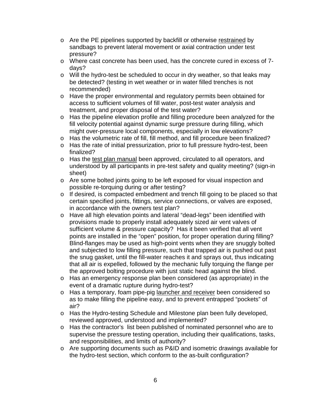- o Are the PE pipelines supported by backfill or otherwise restrained by sandbags to prevent lateral movement or axial contraction under test pressure?
- o Where cast concrete has been used, has the concrete cured in excess of 7 days?
- o Will the hydro-test be scheduled to occur in dry weather, so that leaks may be detected? (testing in wet weather or in water filled trenches is not recommended)
- o Have the proper environmental and regulatory permits been obtained for access to sufficient volumes of fill water, post-test water analysis and treatment, and proper disposal of the test water?
- o Has the pipeline elevation profile and filling procedure been analyzed for the fill velocity potential against dynamic surge pressure during filling, which might over-pressure local components, especially in low elevations?
- o Has the volumetric rate of fill, fill method, and fill procedure been finalized?
- o Has the rate of initial pressurization, prior to full pressure hydro-test, been finalized?
- o Has the test plan manual been approved, circulated to all operators, and understood by all participants in pre-test safety and quality meeting? (sign-in sheet)
- o Are some bolted joints going to be left exposed for visual inspection and possible re-torquing during or after testing?
- o If desired, is compacted embedment and trench fill going to be placed so that certain specified joints, fittings, service connections, or valves are exposed, in accordance with the owners test plan?
- o Have all high elevation points and lateral "dead-legs" been identified with provisions made to properly install adequately sized air vent valves of sufficient volume & pressure capacity? Has it been verified that all vent points are installed in the "open" position, for proper operation during filling? Blind-flanges may be used as high-point vents when they are snuggly bolted and subjected to low filling pressure, such that trapped air is pushed out past the snug gasket, until the fill-water reaches it and sprays out, thus indicating that all air is expelled, followed by the mechanic fully torquing the flange per the approved bolting procedure with just static head against the blind.
- o Has an emergency response plan been considered (as appropriate) in the event of a dramatic rupture during hydro-test?
- o Has a temporary, foam pipe-pig launcher and receiver been considered so as to make filling the pipeline easy, and to prevent entrapped "pockets" of air?
- o Has the Hydro-testing Schedule and Milestone plan been fully developed, reviewed approved, understood and implemented?
- o Has the contractor's list been published of nominated personnel who are to supervise the pressure testing operation, including their qualifications, tasks, and responsibilities, and limits of authority?
- o Are supporting documents such as P&ID and isometric drawings available for the hydro-test section, which conform to the as-built configuration?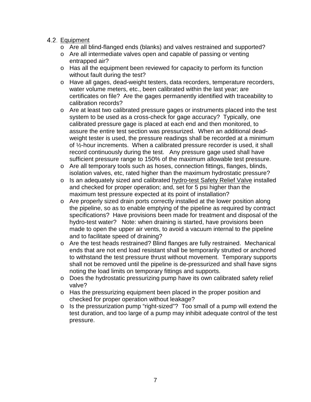- 4.2. Equipment
	- o Are all blind-flanged ends (blanks) and valves restrained and supported?
	- o Are all intermediate valves open and capable of passing or venting entrapped air?
	- o Has all the equipment been reviewed for capacity to perform its function without fault during the test?
	- o Have all gages, dead-weight testers, data recorders, temperature recorders, water volume meters, etc., been calibrated within the last year; are certificates on file? Are the gages permanently identified with traceability to calibration records?
	- o Are at least two calibrated pressure gages or instruments placed into the test system to be used as a cross-check for gage accuracy? Typically, one calibrated pressure gage is placed at each end and then monitored, to assure the entire test section was pressurized. When an additional deadweight tester is used, the pressure readings shall be recorded at a minimum of ½-hour increments. When a calibrated pressure recorder is used, it shall record continuously during the test. Any pressure gage used shall have sufficient pressure range to 150% of the maximum allowable test pressure.
	- o Are all temporary tools such as hoses, connection fittings, flanges, blinds, isolation valves, etc, rated higher than the maximum hydrostatic pressure?
	- o Is an adequately sized and calibrated hydro-test Safety Relief Valve installed and checked for proper operation; and, set for 5 psi higher than the maximum test pressure expected at its point of installation?
	- o Are properly sized drain ports correctly installed at the lower position along the pipeline, so as to enable emptying of the pipeline as required by contract specifications? Have provisions been made for treatment and disposal of the hydro-test water? Note: when draining is started, have provisions been made to open the upper air vents, to avoid a vacuum internal to the pipeline and to facilitate speed of draining?
	- o Are the test heads restrained? Blind flanges are fully restrained. Mechanical ends that are not end load resistant shall be temporarily strutted or anchored to withstand the test pressure thrust without movement. Temporary supports shall not be removed until the pipeline is de-pressurized and shall have signs noting the load limits on temporary fittings and supports.
	- o Does the hydrostatic pressurizing pump have its own calibrated safety relief valve?
	- o Has the pressurizing equipment been placed in the proper position and checked for proper operation without leakage?
	- o Is the pressurization pump "right-sized"? Too small of a pump will extend the test duration, and too large of a pump may inhibit adequate control of the test pressure.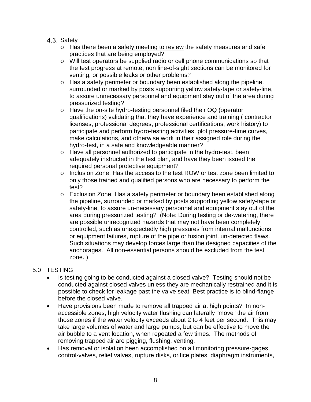### 4.3. Safety

- o Has there been a safety meeting to review the safety measures and safe practices that are being employed?
- o Will test operators be supplied radio or cell phone communications so that the test progress at remote, non line-of-sight sections can be monitored for venting, or possible leaks or other problems?
- o Has a safety perimeter or boundary been established along the pipeline, surrounded or marked by posts supporting yellow safety-tape or safety-line, to assure unnecessary personnel and equipment stay out of the area during pressurized testing?
- o Have the on-site hydro-testing personnel filed their OQ (operator qualifications) validating that they have experience and training ( contractor licenses, professional degrees, professional certifications, work history) to participate and perform hydro-testing activities, plot pressure-time curves, make calculations, and otherwise work in their assigned role during the hydro-test, in a safe and knowledgeable manner?
- o Have all personnel authorized to participate in the hydro-test, been adequately instructed in the test plan, and have they been issued the required personal protective equipment?
- o Inclusion Zone: Has the access to the test ROW or test zone been limited to only those trained and qualified persons who are necessary to perform the test?
- o Exclusion Zone: Has a safety perimeter or boundary been established along the pipeline, surrounded or marked by posts supporting yellow safety-tape or safety-line, to assure un-necessary personnel and equipment stay out of the area during pressurized testing? (Note: During testing or de-watering, there are possible unrecognized hazards that may not have been completely controlled, such as unexpectedly high pressures from internal malfunctions or equipment failures, rupture of the pipe or fusion joint, un-detected flaws. Such situations may develop forces large than the designed capacities of the anchorages. All non-essential persons should be excluded from the test zone. )

### <span id="page-10-0"></span>5.0 TESTING

- Is testing going to be conducted against a closed valve? Testing should not be conducted against closed valves unless they are mechanically restrained and it is possible to check for leakage past the valve seat. Best practice is to blind-flange before the closed valve.
- Have provisions been made to remove all trapped air at high points? In nonaccessible zones, high velocity water flushing can laterally "move" the air from those zones if the water velocity exceeds about 2 to 4 feet per second. This may take large volumes of water and large pumps, but can be effective to move the air bubble to a vent location, when repeated a few times. The methods of removing trapped air are pigging, flushing, venting.
- Has removal or isolation been accomplished on all monitoring pressure-gages, control-valves, relief valves, rupture disks, orifice plates, diaphragm instruments,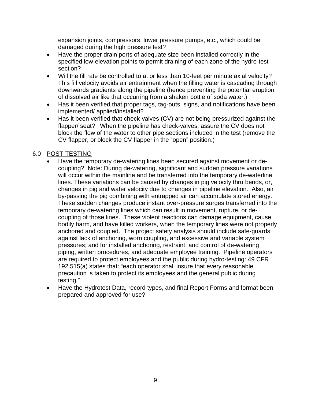expansion joints, compressors, lower pressure pumps, etc., which could be damaged during the high pressure test?

- Have the proper drain ports of adequate size been installed correctly in the specified low-elevation points to permit draining of each zone of the hydro-test section?
- Will the fill rate be controlled to at or less than 10-feet per minute axial velocity? This fill velocity avoids air entrainment when the filling water is cascading through downwards gradients along the pipeline (hence preventing the potential eruption of dissolved air like that occurring from a shaken bottle of soda water.)
- Has it been verified that proper tags, tag-outs, signs, and notifications have been implemented/ applied/installed?
- Has it been verified that check-valves (CV) are not being pressurized against the flapper/ seat? When the pipeline has check-valves, assure the CV does not block the flow of the water to other pipe sections included in the test (remove the CV flapper, or block the CV flapper in the "open" position.)

### <span id="page-11-0"></span>6.0 POST-TESTING

- Have the temporary de-watering lines been secured against movement or decoupling? Note: During de-watering, significant and sudden pressure variations will occur within the mainline and be transferred into the temporary de-waterline lines. These variations can be caused by changes in pig velocity thru bends, or, changes in pig and water velocity due to changes in pipeline elevation. Also, air by-passing the pig combining with entrapped air can accumulate stored energy. These sudden changes produce instant over-pressure surges transferred into the temporary de-watering lines which can result in movement, rupture, or decoupling of those lines. These violent reactions can damage equipment, cause bodily harm, and have killed workers, when the temporary lines were not properly anchored and coupled. The project safety analysis should include safe-guards against lack of anchoring, worn coupling, and excessive and variable system pressures; and for installed anchoring, restraint, and control of de-watering piping, written procedures, and adequate employee training. Pipeline operators are required to protect employees and the public during hydro-testing: 49 CFR 192.515(a) states that: "each operator shall insure that every reasonable precaution is taken to protect its employees and the general public during testing."
- Have the Hydrotest Data, record types, and final Report Forms and format been prepared and approved for use?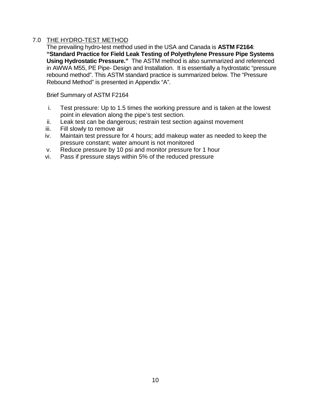### <span id="page-12-0"></span>7.0 THE HYDRO-TEST METHOD

The prevailing hydro-test method used in the USA and Canada is **ASTM F2164**: **"Standard Practice for Field Leak Testing of Polyethylene Pressure Pipe Systems Using Hydrostatic Pressure."** The ASTM method is also summarized and referenced in AWWA M55, PE Pipe- Design and Installation.It is essentially a hydrostatic "pressure rebound method". This ASTM standard practice is summarized below. The "Pressure Rebound Method" is presented in Appendix "A".

Brief Summary of ASTM F2164

- i. Test pressure: Up to 1.5 times the working pressure and is taken at the lowest point in elevation along the pipe's test section.
- ii. Leak test can be dangerous; restrain test section against movement
- iii. Fill slowly to remove air
- iv. Maintain test pressure for 4 hours; add makeup water as needed to keep the pressure constant; water amount is not monitored
- v. Reduce pressure by 10 psi and monitor pressure for 1 hour
- vi. Pass if pressure stays within 5% of the reduced pressure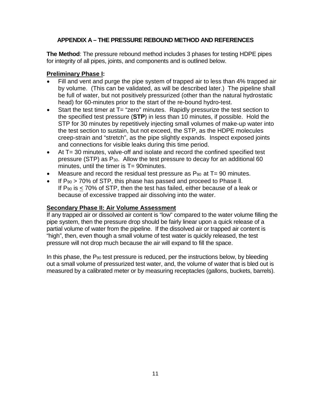### **APPENDIX A – THE PRESSURE REBOUND METHOD AND REFERENCES**

<span id="page-13-0"></span>**The Method**: The pressure rebound method includes 3 phases for testing HDPE pipes for integrity of all pipes, joints, and components and is outlined below.

### **Preliminary Phase I:**

- Fill and vent and purge the pipe system of trapped air to less than 4% trapped air by volume. (This can be validated, as will be described later.) The pipeline shall be full of water, but not positively pressurized (other than the natural hydrostatic head) for 60-minutes prior to the start of the re-bound hydro-test.
- Start the test timer at T= "zero" minutes. Rapidly pressurize the test section to the specified test pressure (**STP**) in less than 10 minutes, if possible. Hold the STP for 30 minutes by repetitively injecting small volumes of make-up water into the test section to sustain, but not exceed, the STP, as the HDPE molecules creep-strain and "stretch", as the pipe slightly expands. Inspect exposed joints and connections for visible leaks during this time period.
- At T= 30 minutes, valve-off and isolate and record the confined specified test pressure (STP) as  $P_{30}$ . Allow the test pressure to decay for an additional 60 minutes, until the timer is  $T = 90$  minutes.
- Measure and record the residual test pressure as  $P_{90}$  at  $T=90$  minutes.
- If  $P_{90}$  > 70% of STP, this phase has passed and proceed to Phase II. If  $P_{90}$  is  $<$  70% of STP, then the test has failed, either because of a leak or because of excessive trapped air dissolving into the water.

### **Secondary Phase II: Air Volume Assessment**

If any trapped air or dissolved air content is "low" compared to the water volume filling the pipe system, then the pressure drop should be fairly linear upon a quick release of a partial volume of water from the pipeline. If the dissolved air or trapped air content is "high", then, even though a small volume of test water is quickly released, the test pressure will not drop much because the air will expand to fill the space.

In this phase, the P<sub>90</sub> test pressure is reduced, per the instructions below, by bleeding out a small volume of pressurized test water, and, the volume of water that is bled out is measured by a calibrated meter or by measuring receptacles (gallons, buckets, barrels).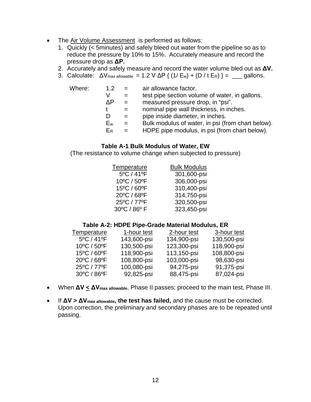- The Air Volume Assessment is performed as follows:
	- 1. Quickly (< 5minutes) and safely bleed out water from the pipeline so as to reduce the pressure by 10% to 15%. Accurately measure and record the pressure drop as **ΔP.**
	- 2. Accurately and safely measure and record the water volume bled out as **ΔV.**
	- 3. Calculate:  $\Delta V_{\text{max allowable}} = 1.2 \text{ V } \Delta P$  {  $(1/E_w) + (D / t E_R)$  } = qallons.

| Where: | 1.2 <sub>1</sub> |     | air allowance factor.                             |
|--------|------------------|-----|---------------------------------------------------|
|        | V                |     | test pipe section volume of water, in gallons.    |
|        | ΛP               |     | measured pressure drop, in "psi".                 |
|        |                  |     | nominal pipe wall thickness, in inches.           |
|        |                  | $=$ | pipe inside diameter, in inches.                  |
|        | Ew               | $=$ | Bulk modulus of water, in psi (from chart below). |
|        | ER               |     | HDPE pipe modulus, in psi (from chart below).     |
|        |                  |     |                                                   |

#### **Table A-1 Bulk Modulus of Water, EW**

(The resistance to volume change when subjected to pressure)

| Temperature                     | <b>Bulk Modulus</b> |
|---------------------------------|---------------------|
| $5^{\circ}$ C / 41 $^{\circ}$ F | 301,600-psi         |
| 10°C / 50°F                     | 306,000-psi         |
| 15°C / 60°F                     | 310,400-psi         |
| 20°C / 68°F                     | 314,750-psi         |
| 25°C / 77°F                     | 320,500-psi         |
| 30°C / 86° F                    | 323,450-psi         |

#### **Table A-2: HDPE Pipe-Grade Material Modulus, ER**

| Temperature                     | 1-hour test | 2-hour test | 3-hour test |
|---------------------------------|-------------|-------------|-------------|
| $5^{\circ}$ C / 41 $^{\circ}$ F | 143,600-psi | 134,900-psi | 130,500-psi |
| 10°C / 50°F                     | 130,500-psi | 123,300-psi | 118,900-psi |
| 15°C / 60°F                     | 118,900-psi | 113,150-psi | 108,800-psi |
| 20°C / 68°F                     | 108,800-psi | 103,000-psi | 98,630-psi  |
| 25°C / 77°F                     | 100,080-psi | 94,275-psi  | 91,375-psi  |
| 30°C / 86°F                     | 92,825-psi  | 88,475-psi  | 87,024-psi  |

- When **ΔV < ΔVmax allowable**, Phase II passes; proceed to the main test, Phase III.
- If **ΔV > ΔVmax allowable, the test has failed,** and the cause must be corrected. Upon correction, the preliminary and secondary phases are to be repeated until passing.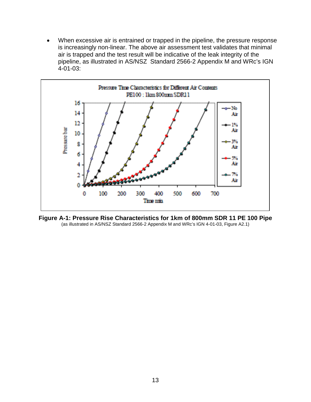• When excessive air is entrained or trapped in the pipeline, the pressure response is increasingly non-linear. The above air assessment test validates that minimal air is trapped and the test result will be indicative of the leak integrity of the pipeline, as illustrated in AS/NSZ Standard 2566-2 Appendix M and WRc's IGN 4-01-03:



<span id="page-15-0"></span>**Figure A-1: Pressure Rise Characteristics for 1km of 800mm SDR 11 PE 100 Pipe** (as illustrated in AS/NSZ Standard 2566-2 Appendix M and WRc's IGN 4-01-03, Figure A2.1)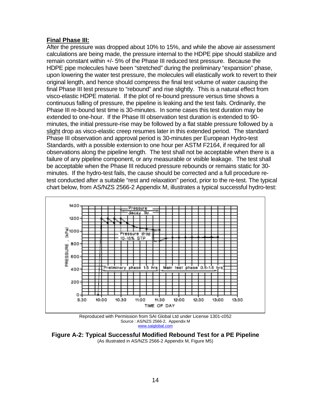### **Final Phase III:**

After the pressure was dropped about 10% to 15%, and while the above air assessment calculations are being made, the pressure internal to the HDPE pipe should stabilize and remain constant within +/- 5% of the Phase III reduced test pressure. Because the HDPE pipe molecules have been "stretched" during the preliminary "expansion" phase, upon lowering the water test pressure, the molecules will elastically work to revert to their original length, and hence should compress the final test volume of water causing the final Phase III test pressure to "rebound" and rise slightly. This is a natural effect from visco-elastic HDPE material. If the plot of re-bound pressure versus time shows a continuous falling of pressure, the pipeline is leaking and the test fails. Ordinarily, the Phase III re-bound test time is 30-minutes. In some cases this test duration may be extended to one-hour. If the Phase III observation test duration is extended to 90 minutes, the initial pressure-rise may be followed by a flat stable pressure followed by a slight drop as visco-elastic creep resumes later in this extended period. The standard Phase III observation and approval period is 30-minutes per European Hydro-test Standards, with a possible extension to one hour per ASTM F2164, if required for all observations along the pipeline length. The test shall not be acceptable when there is a failure of any pipeline component, or any measurable or visible leakage. The test shall be acceptable when the Phase III reduced pressure rebounds or remains static for 30 minutes. If the hydro-test fails, the cause should be corrected and a full procedure retest conducted after a suitable "rest and relaxation" period, prior to the re-test. The typical chart below, from AS/NZS 2566-2 Appendix M, illustrates a typical successful hydro-test:



Reproduced with Permission from SAI Global Ltd under License 1301-c052 Source : AS/NZS 2566-2, Appendix M [www.saiglobal.com](http://www.saiglobal.com/)

<span id="page-16-0"></span>**Figure A-2: Typical Successful Modified Rebound Test for a PE Pipeline**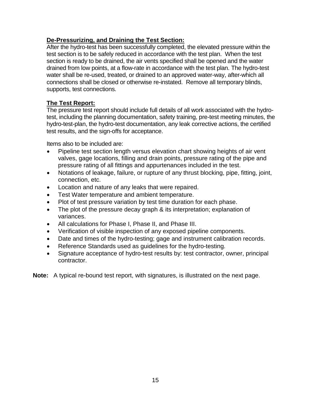### **De-Pressurizing, and Draining the Test Section:**

After the hydro-test has been successfully completed, the elevated pressure within the test section is to be safely reduced in accordance with the test plan. When the test section is ready to be drained, the air vents specified shall be opened and the water drained from low points, at a flow-rate in accordance with the test plan. The hydro-test water shall be re-used, treated, or drained to an approved water-way, after-which all connections shall be closed or otherwise re-instated. Remove all temporary blinds, supports, test connections.

### **The Test Report:**

The pressure test report should include full details of all work associated with the hydrotest, including the planning documentation, safety training, pre-test meeting minutes, the hydro-test-plan, the hydro-test documentation, any leak corrective actions, the certified test results, and the sign-offs for acceptance.

Items also to be included are:

- Pipeline test section length versus elevation chart showing heights of air vent valves, gage locations, filling and drain points, pressure rating of the pipe and pressure rating of all fittings and appurtenances included in the test.
- Notations of leakage, failure, or rupture of any thrust blocking, pipe, fitting, joint, connection, etc.
- Location and nature of any leaks that were repaired.
- Test Water temperature and ambient temperature.
- Plot of test pressure variation by test time duration for each phase.
- The plot of the pressure decay graph & its interpretation; explanation of variances.
- All calculations for Phase I, Phase II, and Phase III.
- Verification of visible inspection of any exposed pipeline components.
- Date and times of the hydro-testing; gage and instrument calibration records.
- Reference Standards used as guidelines for the hydro-testing.
- Signature acceptance of hydro-test results by: test contractor, owner, principal contractor.

**Note:** A typical re-bound test report, with signatures, is illustrated on the next page.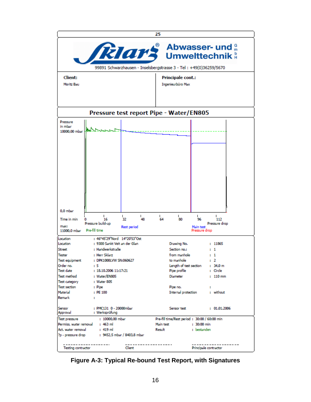|                                                                                                  |                                          | 25                                                 |  |
|--------------------------------------------------------------------------------------------------|------------------------------------------|----------------------------------------------------|--|
| <b>RIAMS</b> Abwasser- und<br>99891 Schwarzhausen - Inselsbergstrasse 3 - Tel : +49(0)36259/5670 |                                          |                                                    |  |
| Client:                                                                                          |                                          | Principale cont.:                                  |  |
| Moritz Bau                                                                                       |                                          | Ingenieurbüro Max                                  |  |
|                                                                                                  |                                          |                                                    |  |
|                                                                                                  | Pressure test report Pipe - Water/EN805  |                                                    |  |
| Pressure<br>in mbar                                                                              | 10000,00 mbar MWAL Share-                |                                                    |  |
|                                                                                                  |                                          |                                                    |  |
| 0.0 <sub>mbar</sub>                                                                              | L<br>$\mathbf{L}$<br>32<br>48            | т<br>64<br>$\mathbf{L}$<br>80<br>96<br>112         |  |
| Time in min                                                                                      | 16<br>Pressure build-up                  | Pressure drop                                      |  |
| max:<br>11000.0 mbar                                                                             | Rest period<br>Pre-fill time             | Main test<br>Pressure drop                         |  |
| Location                                                                                         | : 46°45'29"Nord 14°20'53"Ost             |                                                    |  |
| Location                                                                                         | : 9300 Sankt Veit an der Glan            | Drawing No.<br>: 11865                             |  |
| Street                                                                                           | : Handwerkstraße                         | Section no.:<br>$\cdots$                           |  |
| Tester<br><b>Test equipment</b>                                                                  | : Herr Sklarz<br>: DPK1000LVW SN:060627  | from manhole.<br>$\cdots$<br>to manhole<br>$\pm$ 2 |  |
| Order no.                                                                                        | ÷ 5                                      | Length of test section : 34,0 m                    |  |
| Test date                                                                                        | : 18.10.2006 11:17:21                    | : Circle<br>Pipe profile                           |  |
| Test method                                                                                      | : Water/EN805                            | Diameter<br>$: 110$ mm                             |  |
| Test category                                                                                    | : Water 805                              |                                                    |  |
| <b>Test section</b>                                                                              | : Pipe                                   | Pipe no.                                           |  |
| Material                                                                                         | : PE 100                                 | Internal protection : without                      |  |
| Remark                                                                                           | ÷.                                       |                                                    |  |
| Sensor<br>Approval                                                                               | : PMC131 0 - 20000mbar<br>: Werksprüfung | : 01.01.2006<br>Sensor test                        |  |
| <b>Test pressure</b>                                                                             | : 10000,00 mbar                          | Pre-fill time/Rest period: 30:00 / 60:00 min       |  |
|                                                                                                  | Permiss, water removal : 463 ml          | Main test<br>$: 30:00$ min                         |  |
| Act. water removal                                                                               | $: 419$ m                                | Result<br>: bestanden                              |  |
| ?p - pressure drop                                                                               | : 9452,5 mbar / 8403,8 mbar              |                                                    |  |
| Testing contractor                                                                               | Client                                   | ------------<br>Principale contractor              |  |

<span id="page-18-0"></span>**Figure A-3: Typical Re-bound Test Report, with Signatures**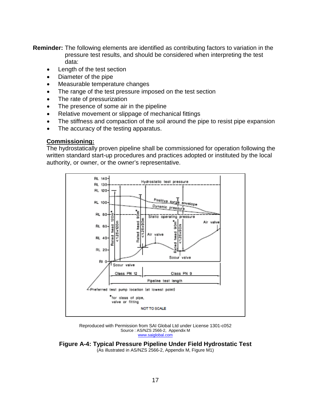**Reminder:** The following elements are identified as contributing factors to variation in the pressure test results, and should be considered when interpreting the test data:

- Length of the test section
- Diameter of the pipe
- Measurable temperature changes
- The range of the test pressure imposed on the test section
- The rate of pressurization
- The presence of some air in the pipeline
- Relative movement or slippage of mechanical fittings
- The stiffness and compaction of the soil around the pipe to resist pipe expansion
- The accuracy of the testing apparatus.

#### **Commissioning:**

The hydrostatically proven pipeline shall be commissioned for operation following the written standard start-up procedures and practices adopted or instituted by the local authority, or owner, or the owner's representative.



Reproduced with Permission from SAI Global Ltd under License 1301-c052 Source : AS/NZS 2566-2, Appendix M [www.saiglobal.com](http://www.saiglobal.com/)

<span id="page-19-0"></span>**Figure A-4: Typical Pressure Pipeline Under Field Hydrostatic Test** (As illustrated in AS/NZS 2566-2, Appendix M, Figure M1)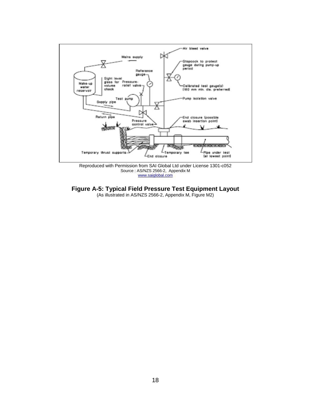

Source : AS/NZS 2566-2, Appendix M [www.saiglobal.com](http://www.saiglobal.com/)

<span id="page-20-0"></span>**Figure A-5: Typical Field Pressure Test Equipment Layout** (As illustrated in AS/NZS 2566-2, Appendix M, Figure M2)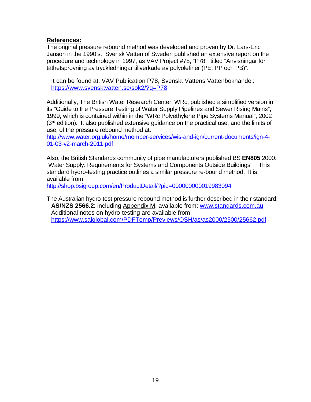### **References:**

The original pressure rebound method was developed and proven by Dr. Lars-Eric Janson in the 1990's. Svensk Vatten of Sweden published an extensive report on the procedure and technology in 1997, as VAV Project #78, "P78", titled "Anvisningar för täthetsprovning av tryckledningar tillverkade av polyolefiner (PE, PP och PB)".

It can be found at: VAV Publication P78, Svenskt Vattens Vattenbokhandel: [https://www.svensktvatten.se/sok2/?q=P78.](https://www.svensktvatten.se/sok2/?q=P78)

Additionally, The British Water Research Center, WRc, published a simplified version in its "Guide to the Pressure Testing of Water Supply Pipelines and Sewer Rising Mains", 1999, which is contained within in the "WRc Polyethylene Pipe Systems Manual", 2002  $(3<sup>rd</sup>$  edition). It also published extensive guidance on the practical use, and the limits of use, of the pressure rebound method at:

[http://www.water.org.uk/home/member-services/wis-and-ign/current-documents/ign-4-](http://www.water.org.uk/home/member-services/wis-and-ign/current-documents/ign-4-01-03-v2-march-2011.pdf) [01-03-v2-march-2011.pdf](http://www.water.org.uk/home/member-services/wis-and-ign/current-documents/ign-4-01-03-v2-march-2011.pdf)

Also, the British Standards community of pipe manufacturers published BS **EN805**:2000: "Water Supply: Requirements for Systems and Components Outside Buildings". This standard hydro-testing practice outlines a similar pressure re-bound method. It is available from:

<http://shop.bsigroup.com/en/ProductDetail/?pid=000000000019983094>

The Australian hydro-test pressure rebound method is further described in their standard: **AS/NZS 2566.2**: including Appendix M, available from: [www.standards.com.au](http://www.standards.com.au/)  Additional notes on hydro-testing are available from: <https://www.saiglobal.com/PDFTemp/Previews/OSH/as/as2000/2500/25662.pdf>